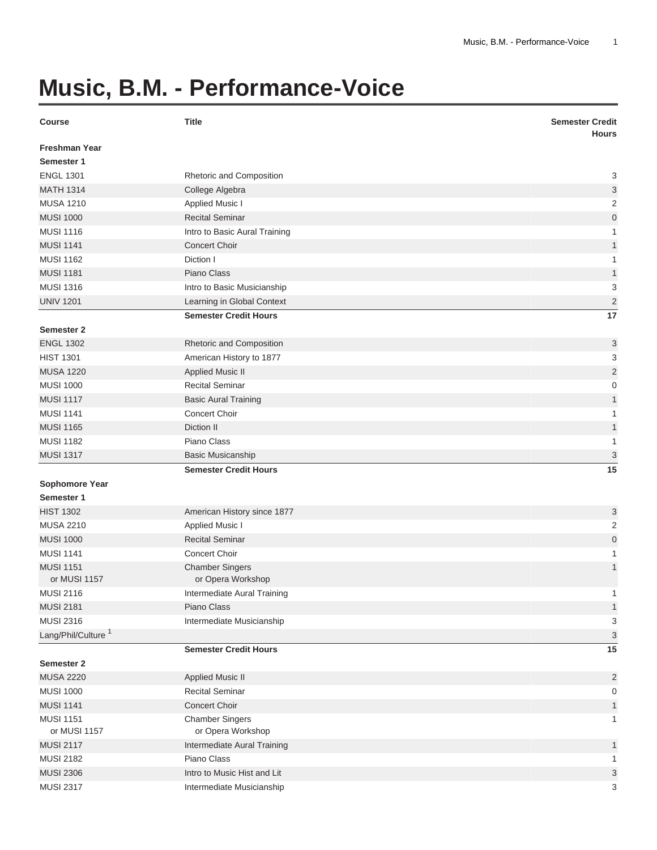## **Music, B.M. - Performance-Voice**

| <b>Freshman Year</b><br>Semester 1<br><b>ENGL 1301</b><br>3<br>Rhetoric and Composition<br><b>MATH 1314</b><br>3<br>College Algebra<br><b>MUSA 1210</b><br>$\overline{2}$<br><b>Applied Music I</b><br><b>MUSI 1000</b><br><b>Recital Seminar</b><br>$\mathbf 0$<br><b>MUSI 1116</b><br>Intro to Basic Aural Training<br>1<br><b>MUSI 1141</b><br><b>Concert Choir</b><br>1<br><b>MUSI 1162</b><br>Diction I<br>1<br><b>MUSI 1181</b><br>Piano Class<br>1<br><b>MUSI 1316</b><br>Intro to Basic Musicianship<br>3<br>$\overline{c}$<br><b>UNIV 1201</b><br>Learning in Global Context<br>17<br><b>Semester Credit Hours</b><br><b>Semester 2</b><br><b>ENGL 1302</b><br>Rhetoric and Composition<br>3<br><b>HIST 1301</b><br>3<br>American History to 1877<br>$\overline{2}$<br><b>MUSA 1220</b><br><b>Applied Music II</b><br><b>MUSI 1000</b><br><b>Recital Seminar</b><br>0 |
|--------------------------------------------------------------------------------------------------------------------------------------------------------------------------------------------------------------------------------------------------------------------------------------------------------------------------------------------------------------------------------------------------------------------------------------------------------------------------------------------------------------------------------------------------------------------------------------------------------------------------------------------------------------------------------------------------------------------------------------------------------------------------------------------------------------------------------------------------------------------------------|
|                                                                                                                                                                                                                                                                                                                                                                                                                                                                                                                                                                                                                                                                                                                                                                                                                                                                                |
|                                                                                                                                                                                                                                                                                                                                                                                                                                                                                                                                                                                                                                                                                                                                                                                                                                                                                |
|                                                                                                                                                                                                                                                                                                                                                                                                                                                                                                                                                                                                                                                                                                                                                                                                                                                                                |
|                                                                                                                                                                                                                                                                                                                                                                                                                                                                                                                                                                                                                                                                                                                                                                                                                                                                                |
|                                                                                                                                                                                                                                                                                                                                                                                                                                                                                                                                                                                                                                                                                                                                                                                                                                                                                |
|                                                                                                                                                                                                                                                                                                                                                                                                                                                                                                                                                                                                                                                                                                                                                                                                                                                                                |
|                                                                                                                                                                                                                                                                                                                                                                                                                                                                                                                                                                                                                                                                                                                                                                                                                                                                                |
|                                                                                                                                                                                                                                                                                                                                                                                                                                                                                                                                                                                                                                                                                                                                                                                                                                                                                |
|                                                                                                                                                                                                                                                                                                                                                                                                                                                                                                                                                                                                                                                                                                                                                                                                                                                                                |
|                                                                                                                                                                                                                                                                                                                                                                                                                                                                                                                                                                                                                                                                                                                                                                                                                                                                                |
|                                                                                                                                                                                                                                                                                                                                                                                                                                                                                                                                                                                                                                                                                                                                                                                                                                                                                |
|                                                                                                                                                                                                                                                                                                                                                                                                                                                                                                                                                                                                                                                                                                                                                                                                                                                                                |
|                                                                                                                                                                                                                                                                                                                                                                                                                                                                                                                                                                                                                                                                                                                                                                                                                                                                                |
|                                                                                                                                                                                                                                                                                                                                                                                                                                                                                                                                                                                                                                                                                                                                                                                                                                                                                |
|                                                                                                                                                                                                                                                                                                                                                                                                                                                                                                                                                                                                                                                                                                                                                                                                                                                                                |
|                                                                                                                                                                                                                                                                                                                                                                                                                                                                                                                                                                                                                                                                                                                                                                                                                                                                                |
|                                                                                                                                                                                                                                                                                                                                                                                                                                                                                                                                                                                                                                                                                                                                                                                                                                                                                |
|                                                                                                                                                                                                                                                                                                                                                                                                                                                                                                                                                                                                                                                                                                                                                                                                                                                                                |
| <b>MUSI 1117</b><br><b>Basic Aural Training</b><br>1                                                                                                                                                                                                                                                                                                                                                                                                                                                                                                                                                                                                                                                                                                                                                                                                                           |
| <b>MUSI 1141</b><br>Concert Choir<br>1                                                                                                                                                                                                                                                                                                                                                                                                                                                                                                                                                                                                                                                                                                                                                                                                                                         |
| <b>MUSI 1165</b><br>Diction II<br>1                                                                                                                                                                                                                                                                                                                                                                                                                                                                                                                                                                                                                                                                                                                                                                                                                                            |
| <b>MUSI 1182</b><br>Piano Class<br>1                                                                                                                                                                                                                                                                                                                                                                                                                                                                                                                                                                                                                                                                                                                                                                                                                                           |
| 3<br><b>MUSI 1317</b><br><b>Basic Musicanship</b>                                                                                                                                                                                                                                                                                                                                                                                                                                                                                                                                                                                                                                                                                                                                                                                                                              |
| <b>Semester Credit Hours</b><br>15                                                                                                                                                                                                                                                                                                                                                                                                                                                                                                                                                                                                                                                                                                                                                                                                                                             |
| <b>Sophomore Year</b>                                                                                                                                                                                                                                                                                                                                                                                                                                                                                                                                                                                                                                                                                                                                                                                                                                                          |
| Semester 1                                                                                                                                                                                                                                                                                                                                                                                                                                                                                                                                                                                                                                                                                                                                                                                                                                                                     |
| <b>HIST 1302</b><br>American History since 1877<br>3                                                                                                                                                                                                                                                                                                                                                                                                                                                                                                                                                                                                                                                                                                                                                                                                                           |
| <b>MUSA 2210</b><br>$\overline{2}$<br><b>Applied Music I</b>                                                                                                                                                                                                                                                                                                                                                                                                                                                                                                                                                                                                                                                                                                                                                                                                                   |
| <b>MUSI 1000</b><br><b>Recital Seminar</b><br>$\mathbf 0$                                                                                                                                                                                                                                                                                                                                                                                                                                                                                                                                                                                                                                                                                                                                                                                                                      |
| <b>MUSI 1141</b><br>Concert Choir<br>1                                                                                                                                                                                                                                                                                                                                                                                                                                                                                                                                                                                                                                                                                                                                                                                                                                         |
| <b>MUSI 1151</b><br><b>Chamber Singers</b><br>$\mathbf{1}$                                                                                                                                                                                                                                                                                                                                                                                                                                                                                                                                                                                                                                                                                                                                                                                                                     |
| or MUSI 1157<br>or Opera Workshop                                                                                                                                                                                                                                                                                                                                                                                                                                                                                                                                                                                                                                                                                                                                                                                                                                              |
| <b>MUSI 2116</b><br>Intermediate Aural Training                                                                                                                                                                                                                                                                                                                                                                                                                                                                                                                                                                                                                                                                                                                                                                                                                                |
| Piano Class<br><b>MUSI 2181</b><br>1                                                                                                                                                                                                                                                                                                                                                                                                                                                                                                                                                                                                                                                                                                                                                                                                                                           |
| <b>MUSI 2316</b><br>Intermediate Musicianship<br>3                                                                                                                                                                                                                                                                                                                                                                                                                                                                                                                                                                                                                                                                                                                                                                                                                             |
| Lang/Phil/Culture <sup>1</sup><br>3                                                                                                                                                                                                                                                                                                                                                                                                                                                                                                                                                                                                                                                                                                                                                                                                                                            |
| <b>Semester Credit Hours</b><br>15                                                                                                                                                                                                                                                                                                                                                                                                                                                                                                                                                                                                                                                                                                                                                                                                                                             |
| <b>Semester 2</b>                                                                                                                                                                                                                                                                                                                                                                                                                                                                                                                                                                                                                                                                                                                                                                                                                                                              |
| <b>MUSA 2220</b><br><b>Applied Music II</b><br>$\overline{2}$                                                                                                                                                                                                                                                                                                                                                                                                                                                                                                                                                                                                                                                                                                                                                                                                                  |
| <b>MUSI 1000</b><br><b>Recital Seminar</b><br>0                                                                                                                                                                                                                                                                                                                                                                                                                                                                                                                                                                                                                                                                                                                                                                                                                                |
| <b>MUSI 1141</b><br><b>Concert Choir</b><br>1                                                                                                                                                                                                                                                                                                                                                                                                                                                                                                                                                                                                                                                                                                                                                                                                                                  |
| <b>MUSI 1151</b><br><b>Chamber Singers</b><br>1                                                                                                                                                                                                                                                                                                                                                                                                                                                                                                                                                                                                                                                                                                                                                                                                                                |
| or Opera Workshop<br>or MUSI 1157                                                                                                                                                                                                                                                                                                                                                                                                                                                                                                                                                                                                                                                                                                                                                                                                                                              |
| <b>MUSI 2117</b><br>Intermediate Aural Training<br>1                                                                                                                                                                                                                                                                                                                                                                                                                                                                                                                                                                                                                                                                                                                                                                                                                           |
| <b>MUSI 2182</b><br>Piano Class<br>1                                                                                                                                                                                                                                                                                                                                                                                                                                                                                                                                                                                                                                                                                                                                                                                                                                           |
| <b>MUSI 2306</b><br>3<br>Intro to Music Hist and Lit                                                                                                                                                                                                                                                                                                                                                                                                                                                                                                                                                                                                                                                                                                                                                                                                                           |
| <b>MUSI 2317</b><br>Intermediate Musicianship<br>3                                                                                                                                                                                                                                                                                                                                                                                                                                                                                                                                                                                                                                                                                                                                                                                                                             |